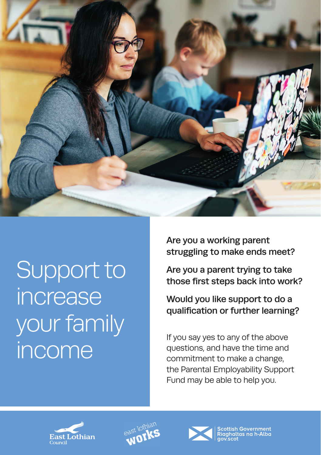

Support to increase your family

Are you a working parent struggling to make ends meet?

Are you a parent trying to take those first steps back into work?

Would you like support to do a qualification or further learning?

If you say yes to any of the above<br>
Income questions, and have the time and<br>
commitment to make a change questions, and have the time and commitment to make a change, the Parental Employability Support Fund may be able to help you.







cottish Government<br>igghaltas na h-Alba